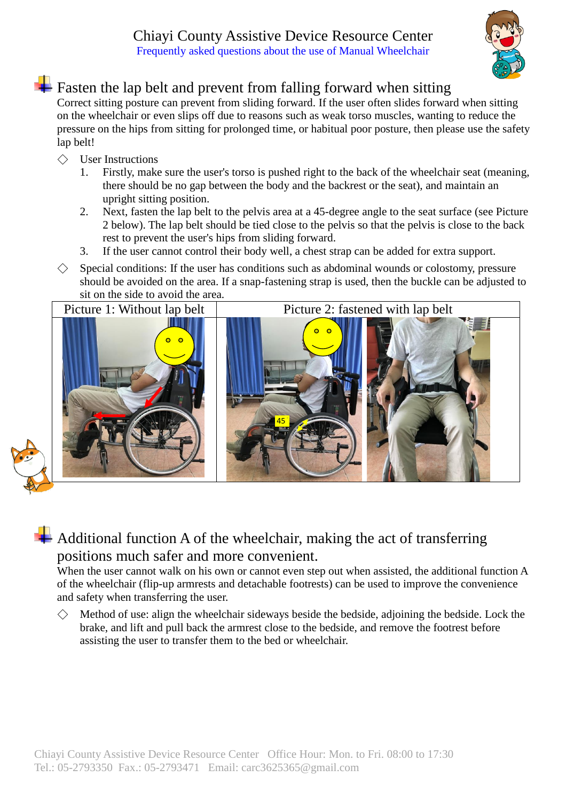## Chiayi County Assistive Device Resource Center Frequently asked questions about the use of Manual Wheelchair



## $\blacksquare$  Fasten the lap belt and prevent from falling forward when sitting

Correct sitting posture can prevent from sliding forward. If the user often slides forward when sitting on the wheelchair or even slips off due to reasons such as weak torso muscles, wanting to reduce the pressure on the hips from sitting for prolonged time, or habitual poor posture, then please use the safety lap belt!

- $\Diamond$  User Instructions
	- 1. Firstly, make sure the user's torso is pushed right to the back of the wheelchair seat (meaning, there should be no gap between the body and the backrest or the seat), and maintain an upright sitting position.
	- 2. Next, fasten the lap belt to the pelvis area at a 45-degree angle to the seat surface (see Picture 2 below). The lap belt should be tied close to the pelvis so that the pelvis is close to the back rest to prevent the user's hips from sliding forward.
	- 3. If the user cannot control their body well, a chest strap can be added for extra support.
- $\Diamond$  Special conditions: If the user has conditions such as abdominal wounds or colostomy, pressure should be avoided on the area. If a snap-fastening strap is used, then the buckle can be adjusted to



## $\blacktriangle$  Additional function A of the wheelchair, making the act of transferring positions much safer and more convenient.

When the user cannot walk on his own or cannot even step out when assisted, the additional function A of the wheelchair (flip-up armrests and detachable footrests) can be used to improve the convenience and safety when transferring the user.

 $\diamondsuit$  Method of use: align the wheelchair sideways beside the bedside, adjoining the bedside. Lock the brake, and lift and pull back the armrest close to the bedside, and remove the footrest before assisting the user to transfer them to the bed or wheelchair.